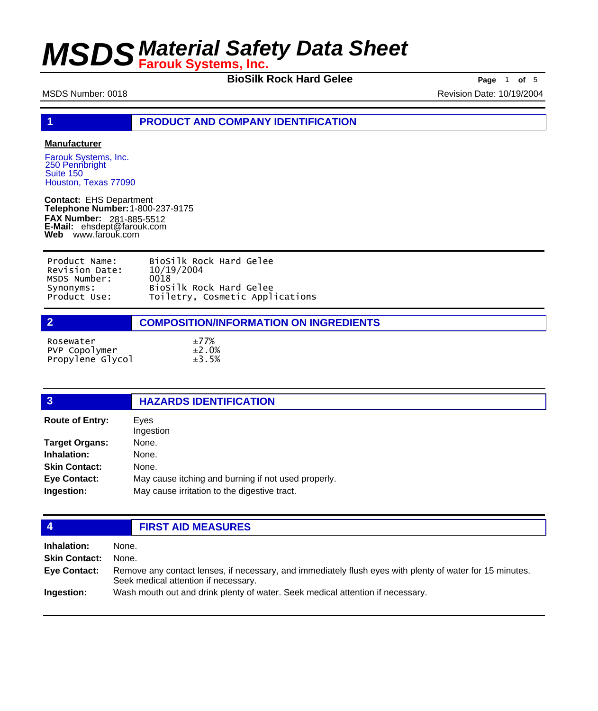**BioSilk Rock Hard Gelee** Page 1 of 5

MSDS Number: 0018 8 and 0018 and 0018 and 0018 and 0019/2004 and 0019/2004

**1 PRODUCT AND COMPANY IDENTIFICATION**

### **Manufacturer**

Farouk Systems, Inc. 250 Pennbright Suite 150 Houston, Texas 77090

**Contact:** EHS Department **Telephone Number:** 1-800-237-9175 **FAX Number: FAX Number:** 281-885-5512<br>**E-Mail:** ehsdept@farouk.com **Web** www.farouk.com

| Product Name:  | BioSilk Rock Hard Gelee         |
|----------------|---------------------------------|
| Revision Date: | 10/19/2004                      |
| MSDS Number:   | 0018                            |
| Synonyms:      | BioSilk Rock Hard Gelee         |
| Product Use:   | Toiletry, Cosmetic Applications |

| $\overline{2}$                                 | <b>COMPOSITION/INFORMATION ON INGREDIENTS</b> |
|------------------------------------------------|-----------------------------------------------|
| Rosewater<br>PVP Copolymer<br>Propylene Glycol | ±77%<br>$\pm 2.0\%$<br>±3.5%                  |

| $\overline{3}$         | <b>HAZARDS IDENTIFICATION</b>                       |
|------------------------|-----------------------------------------------------|
| <b>Route of Entry:</b> | Eyes<br>Ingestion                                   |
| <b>Target Organs:</b>  | None.                                               |
| Inhalation:            | None.                                               |
| <b>Skin Contact:</b>   | None.                                               |
| <b>Eye Contact:</b>    | May cause itching and burning if not used properly. |
| Ingestion:             | May cause irritation to the digestive tract.        |
|                        |                                                     |

## **4 FIRST AID MEASURES**

| Inhalation:          | None.                                                                                                                                            |
|----------------------|--------------------------------------------------------------------------------------------------------------------------------------------------|
| <b>Skin Contact:</b> | None.                                                                                                                                            |
| Eye Contact:         | Remove any contact lenses, if necessary, and immediately flush eyes with plenty of water for 15 minutes.<br>Seek medical attention if necessary. |
| Ingestion:           | Wash mouth out and drink plenty of water. Seek medical attention if necessary.                                                                   |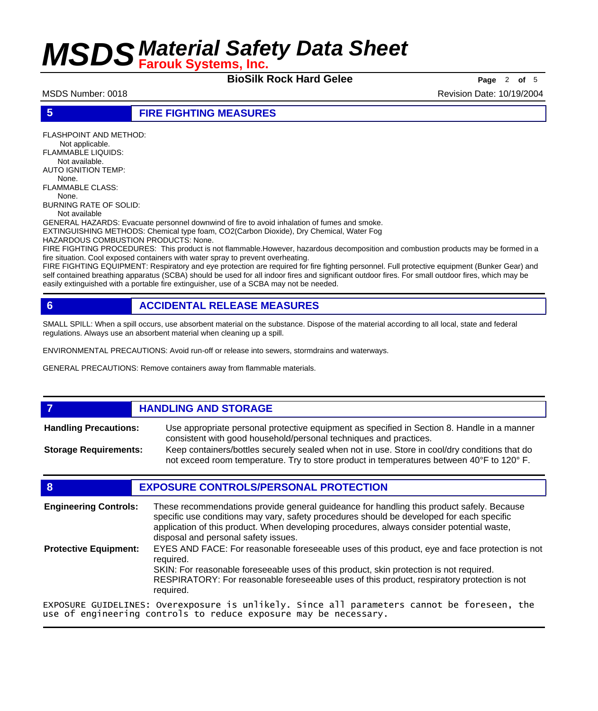**BioSilk Rock Hard Gelee** Page 2 of 5

MSDS Number: 0018 **Revision Date: 10/19/2004** Revision Date: 10/19/2004

### **5 FIRE FIGHTING MEASURES**

FLASHPOINT AND METHOD: Not applicable. FLAMMABLE LIQUIDS: Not available. AUTO IGNITION TEMP: None. FLAMMABLE CLASS: None. BURNING RATE OF SOLID: Not available

GENERAL HAZARDS: Evacuate personnel downwind of fire to avoid inhalation of fumes and smoke.

EXTINGUISHING METHODS: Chemical type foam, CO2(Carbon Dioxide), Dry Chemical, Water Fog

HAZARDOUS COMBUSTION PRODUCTS: None.

FIRE FIGHTING PROCEDURES: This product is not flammable.However, hazardous decomposition and combustion products may be formed in a fire situation. Cool exposed containers with water spray to prevent overheating.

FIRE FIGHTING EQUIPMENT: Respiratory and eye protection are required for fire fighting personnel. Full protective equipment (Bunker Gear) and self contained breathing apparatus (SCBA) should be used for all indoor fires and significant outdoor fires. For small outdoor fires, which may be easily extinguished with a portable fire extinguisher, use of a SCBA may not be needed.

## **6 ACCIDENTAL RELEASE MEASURES**

SMALL SPILL: When a spill occurs, use absorbent material on the substance. Dispose of the material according to all local, state and federal regulations. Always use an absorbent material when cleaning up a spill.

ENVIRONMENTAL PRECAUTIONS: Avoid run-off or release into sewers, stormdrains and waterways.

GENERAL PRECAUTIONS: Remove containers away from flammable materials.

## *HANDLING AND STORAGE*

Use appropriate personal protective equipment as specified in Section 8. Handle in a manner consistent with good household/personal techniques and practices. **Handling Precautions:** Keep containers/bottles securely sealed when not in use. Store in cool/dry conditions that do **Storage Requirements:**

not exceed room temperature. Try to store product in temperatures between 40°F to 120° F.

## **8 EXPOSURE CONTROLS/PERSONAL PROTECTION**

These recommendations provide general guideance for handling this product safely. Because specific use conditions may vary, safety procedures should be developed for each specific application of this product. When developing procedures, always consider potential waste, disposal and personal safety issues. **Engineering Controls:** EYES AND FACE: For reasonable foreseeable uses of this product, eye and face protection is not required. SKIN: For reasonable foreseeable uses of this product, skin protection is not required. RESPIRATORY: For reasonable foreseeable uses of this product, respiratory protection is not required. **Protective Equipment:** EXPOSURE GUIDELINES: Overexposure is unlikely. Since all parameters cannot be foreseen, the

use of engineering controls to reduce exposure may be necessary.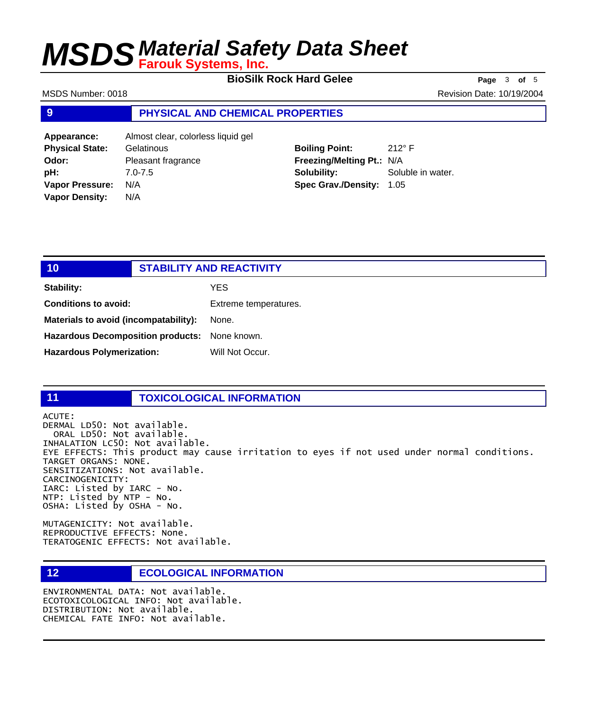**BioSilk Rock Hard Gelee** Page 3 of 5

MSDS Number: 0018 **Revision Date: 10/19/2004** Revision Date: 10/19/2004

### **9 PHYSICAL AND CHEMICAL PROPERTIES**

| Appearance:            | Almost clear, colorless liquid gel |
|------------------------|------------------------------------|
| <b>Physical State:</b> | Gelatinous                         |
| Odor:                  | Pleasant fragrance                 |
| pH:                    | $7.0 - 7.5$                        |
| <b>Vapor Pressure:</b> | N/A                                |
| <b>Vapor Density:</b>  | N/A                                |

**Boiling Point:** 212° F **Freezing/Melting Pt.:** N/A **Solubility:** Soluble in water. **Spec Grav./Density:** 1.05

| 10 <sub>1</sub>                               | <b>STABILITY AND REACTIVITY</b> |
|-----------------------------------------------|---------------------------------|
| <b>Stability:</b>                             | YES                             |
| <b>Conditions to avoid:</b>                   | Extreme temperatures.           |
| Materials to avoid (incompatability):         | None.                           |
| Hazardous Decomposition products: None known. |                                 |
| <b>Hazardous Polymerization:</b>              | Will Not Occur.                 |
|                                               |                                 |

### **11 TOXICOLOGICAL INFORMATION**

ACUTE: DERMAL LD50: Not available. ORAL LD50: Not available. INHALATION LC50: Not available. EYE EFFECTS: This product may cause irritation to eyes if not used under normal conditions. TARGET ORGANS: NONE. SENSITIZATIONS: Not available. CARCINOGENICITY: IARC: Listed by IARC - No. NTP: Listed by NTP - No. OSHA: Listed by OSHA - No.

MUTAGENICITY: Not available. REPRODUCTIVE EFFECTS: None. TERATOGENIC EFFECTS: Not available.

## **12 ECOLOGICAL INFORMATION**

ENVIRONMENTAL DATA: Not available. ECOTOXICOLOGICAL INFO: Not available. DISTRIBUTION: Not available. CHEMICAL FATE INFO: Not available.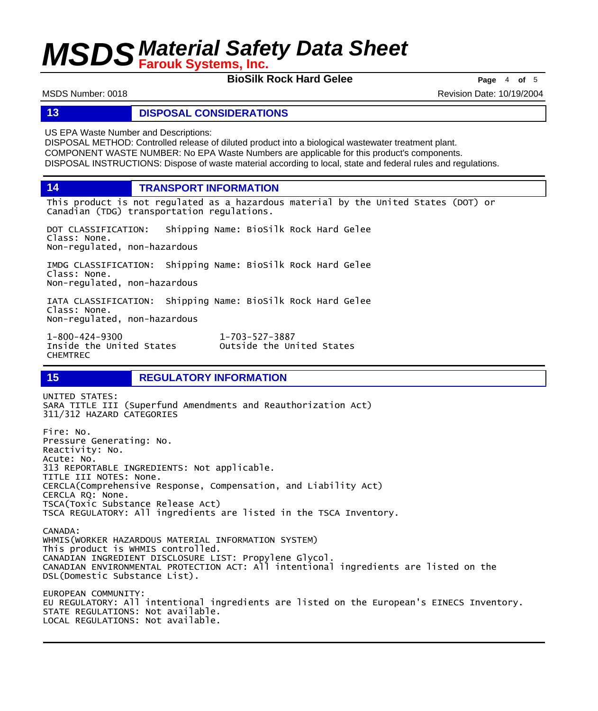**BioSilk Rock Hard Gelee** Page 4 of 5

MSDS Number: 0018 **Revision Date: 10/19/2004** Revision Date: 10/19/2004

### **13 DISPOSAL CONSIDERATIONS**

US EPA Waste Number and Descriptions:

DISPOSAL METHOD: Controlled release of diluted product into a biological wastewater treatment plant. COMPONENT WASTE NUMBER: No EPA Waste Numbers are applicable for this product's components. DISPOSAL INSTRUCTIONS: Dispose of waste material according to local, state and federal rules and regulations.

**14 TRANSPORT INFORMATION**

This product is not regulated as a hazardous material by the United States (DOT) or Canadian (TDG) transportation regulations.

DOT CLASSIFICATION: Shipping Name: BioSilk Rock Hard Gelee Class: None. Non-regulated, non-hazardous

IMDG CLASSIFICATION: Shipping Name: BioSilk Rock Hard Gelee Class: None. Non-regulated, non-hazardous

IATA CLASSIFICATION: Shipping Name: BioSilk Rock Hard Gelee Class: None. Non-regulated, non-hazardous

1-800-424-9300 1-703-527-3887 CHEMTREC

Outside the United States

## **15 REGULATORY INFORMATION**

UNITED STATES: SARA TITLE III (Superfund Amendments and Reauthorization Act) 311/312 HAZARD CATEGORIES Fire: No. Pressure Generating: No. Reactivity: No. Acute: No. 313 REPORTABLE INGREDIENTS: Not applicable. TITLE III NOTES: None. CERCLA(Comprehensive Response, Compensation, and Liability Act) CERCLA RQ: None. TSCA(Toxic Substance Release Act) TSCA REGULATORY: All ingredients are listed in the TSCA Inventory. CANADA: WHMIS(WORKER HAZARDOUS MATERIAL INFORMATION SYSTEM) This product is WHMIS controlled. CANADIAN INGREDIENT DISCLOSURE LIST: Propylene Glycol. CANADIAN ENVIRONMENTAL PROTECTION ACT: All intentional ingredients are listed on the DSL(Domestic Substance List). EUROPEAN COMMUNITY: EU REGULATORY: All intentional ingredients are listed on the European's EINECS Inventory. STATE REGULATIONS: Not available. LOCAL REGULATIONS: Not available.